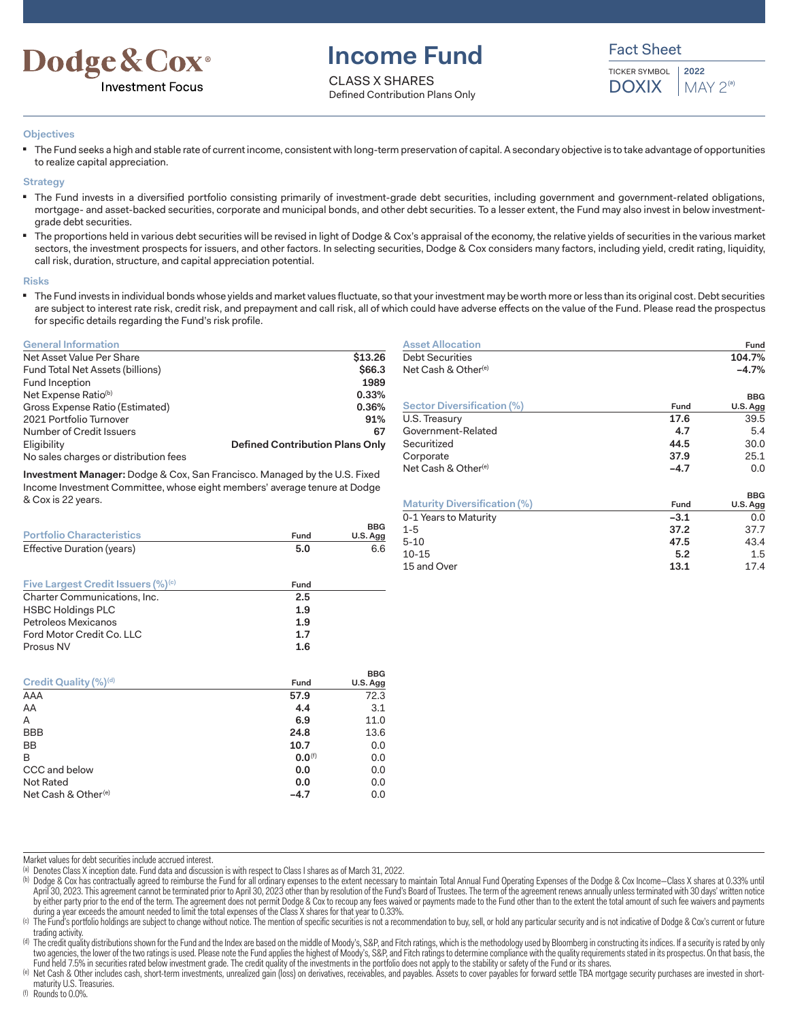

# **Income Fund**

CLASS X SHARES Defined Contribution Plans Only Fact Sheet

TICKER SYMBOL **DOXIX 2022**  $MAY 2<sup>(a)</sup>$ 

### **Objectives**

The Fund seeks a high and stable rate of current income, consistent with long-term preservation of capital. A secondary objective is to take advantage of opportunities to realize capital appreciation.

### **Strategy**

- The Fund invests in a diversified portfolio consisting primarily of investment-grade debt securities, including government and government-related obligations, mortgage- and asset-backed securities, corporate and municipal bonds, and other debt securities. To a lesser extent, the Fund may also invest in below investmentgrade debt securities.
- The proportions held in various debt securities will be revised in light of Dodge & Cox's appraisal of the economy, the relative yields of securities in the various market sectors, the investment prospects for issuers, and other factors. In selecting securities, Dodge & Cox considers many factors, including yield, credit rating, liquidity, call risk, duration, structure, and capital appreciation potential.

#### **Risks**

■ The Fund invests in individual bonds whose yields and market values fluctuate, so that your investment may be worth more or less than its original cost. Debt securities are subject to interest rate risk, credit risk, and prepayment and call risk, all of which could have adverse effects on the value of the Fund. Please read the prospectus for specific details regarding the Fund's risk profile.

### **General Information**

| Net Asset Value Per Share             | \$13.26                                |
|---------------------------------------|----------------------------------------|
| Fund Total Net Assets (billions)      | \$66.3                                 |
| Fund Inception                        | 1989                                   |
| Net Expense Ratio <sup>(b)</sup>      | 0.33%                                  |
| Gross Expense Ratio (Estimated)       | 0.36%                                  |
| 2021 Portfolio Turnover               | 91%                                    |
| Number of Credit Issuers              | 67                                     |
| Eligibility                           | <b>Defined Contribution Plans Only</b> |
| No sales charges or distribution fees |                                        |

**Investment Manager:** Dodge & Cox, San Francisco. Managed by the U.S. Fixed Income Investment Committee, whose eight members' average tenure at Dodge & Cox is 22 years.

| <b>Portfolio Characteristics</b>                     | Fund        | <b>BBG</b><br>U.S. Agg |
|------------------------------------------------------|-------------|------------------------|
| Effective Duration (years)                           | 5.0         | 6.6                    |
|                                                      |             |                        |
| <b>Five Largest Credit Issuers (%)<sup>(c)</sup></b> | Fund        |                        |
| Charter Communications, Inc.                         | 2.5         |                        |
| <b>HSBC Holdings PLC</b>                             | 1.9         |                        |
| Petroleos Mexicanos                                  | 1.9         |                        |
| Ford Motor Credit Co. LLC                            | 1.7         |                        |
| Prosus NV                                            | 1.6         |                        |
|                                                      |             | <b>BBG</b>             |
| Credit Quality (%) <sup>(d)</sup>                    | Fund        | U.S. Agg               |
| AAA                                                  | 57.9        | 72.3                   |
| AA                                                   | 4.4         | 3.1                    |
| A                                                    | 6.9         | 11.0                   |
| <b>BBB</b>                                           | 24.8        | 13.6                   |
| BB                                                   | 10.7        | 0.0                    |
| B                                                    | $0.0^{(f)}$ | 0.0                    |
| CCC and below                                        | 0.0         | 0.0                    |
| <b>Not Rated</b>                                     | 0.0         | 0.0                    |
| Net Cash & Other <sup>(e)</sup>                      | $-4.7$      | 0.0                    |

| <b>Asset Allocation</b>             |         | Fund                   |  |  |
|-------------------------------------|---------|------------------------|--|--|
| <b>Debt Securities</b>              |         | 104.7%                 |  |  |
| Net Cash & Other <sup>(e)</sup>     | $-4.7%$ |                        |  |  |
| <b>Sector Diversification (%)</b>   | Fund    | <b>BBG</b><br>U.S. Agg |  |  |
| U.S. Treasury                       | 17.6    | 39.5                   |  |  |
| Government-Related                  | 4.7     | 5.4                    |  |  |
| Securitized                         | 44.5    | 30.0                   |  |  |
| Corporate                           | 37.9    | 25.1                   |  |  |
| Net Cash & Other <sup>(e)</sup>     | $-4.7$  | 0.0                    |  |  |
|                                     |         | <b>BBG</b>             |  |  |
| <b>Maturity Diversification (%)</b> | Fund    | U.S. Agg               |  |  |
| 0-1 Years to Maturity               | $-3.1$  | 0.0                    |  |  |
| $1 - 5$                             | 37.2    | 37.7                   |  |  |
| $5 - 10$                            | 47.5    | 43.4                   |  |  |
| $10 - 15$                           | 5.2     | $1.5\,$                |  |  |
| 15 and Over                         | 13.1    | 17.4                   |  |  |

Market values for debt securities include accrued interest.

(a) Denotes Class X inception date. Fund data and discussion is with respect to Class I shares as of March 31, 2022.

(b) Dodge & Cox has contractually agreed to reimburse the Fund for all ordinary expenses to the extent necessary to maintain Total Annual Fund Operating Expenses of the Dodge & Cox Income—Class X shares at 0.33% until April 30, 2023. This agreement cannot be terminated prior to April 30, 2023 other than by resolution of the Fund's Board of Trustees. The term of the agreement renews annually unless terminated with 30 days' written notice by either party prior to the end of the term. The agreement does not permit Dodge & Cox to recoup any fees waived or payments made to the Fund other than to the extent the total amount of such fee waivers and payments during a year exceeds the amount needed to limit the total expenses of the Class X shares for that year to 0.33%.

(c) The Fund's portfolio holdings are subject to change without notice. The mention of specific securities is not a recommendation to buy, sell, or hold any particular security and is not indicative of Dodge & Cox's curren trading activity.

<sup>(d)</sup> The credit quality distributions shown for the Fund and the Index are based on the middle of Moody's, S&P, and Fitch ratings, which is the methodology used by Bloomberg in constructing its indices. If a security is r two agencies, the lower of the two ratings is used. Please note the Fund applies the highest of Moody's, S&P, and Fitch ratings to determine compliance with the quality requirements stated in its prospectus. On that basis, Fund held 7.5% in securities rated below investment grade. The credit quality of the investments in the portfolio does not apply to the stability or safety of the Fund or its shares.

(f) Rounds to 0.0%.

Net Cash & Other includes cash, short-term investments, unrealized gain (loss) on derivatives, receivables, and payables. Assets to cover payables for forward settle TBA mortgage security purchases are invested in shortmaturity U.S. Treasuries.